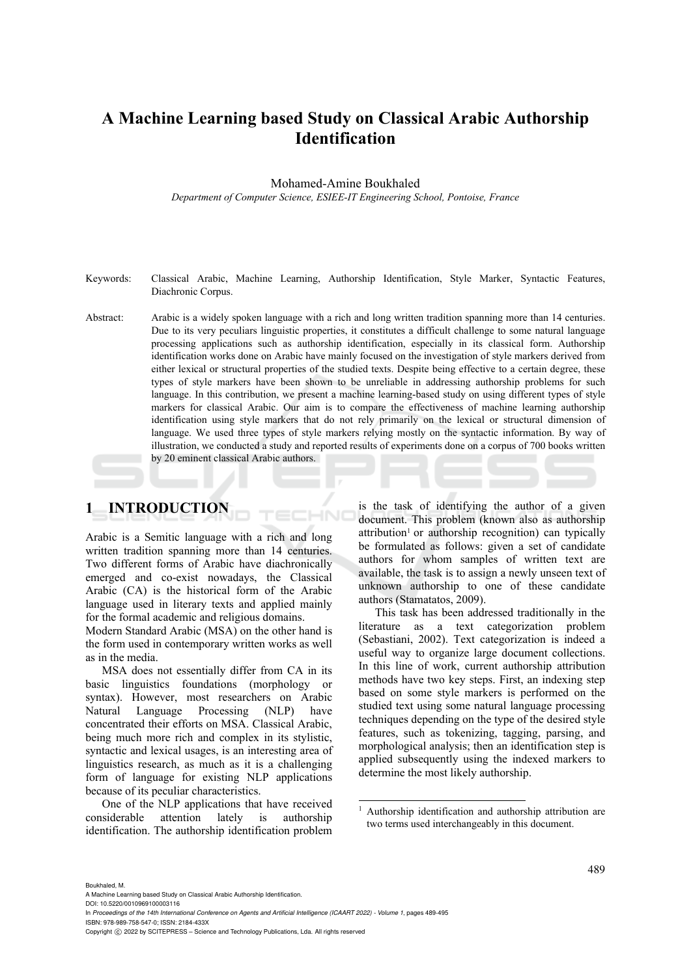# **A Machine Learning based Study on Classical Arabic Authorship Identification**

Mohamed-Amine Boukhaled

*Department of Computer Science, ESIEE-IT Engineering School, Pontoise, France* 

- Keywords: Classical Arabic, Machine Learning, Authorship Identification, Style Marker, Syntactic Features, Diachronic Corpus.
- Abstract: Arabic is a widely spoken language with a rich and long written tradition spanning more than 14 centuries. Due to its very peculiars linguistic properties, it constitutes a difficult challenge to some natural language processing applications such as authorship identification, especially in its classical form. Authorship identification works done on Arabic have mainly focused on the investigation of style markers derived from either lexical or structural properties of the studied texts. Despite being effective to a certain degree, these types of style markers have been shown to be unreliable in addressing authorship problems for such language. In this contribution, we present a machine learning-based study on using different types of style markers for classical Arabic. Our aim is to compare the effectiveness of machine learning authorship identification using style markers that do not rely primarily on the lexical or structural dimension of language. We used three types of style markers relying mostly on the syntactic information. By way of illustration, we conducted a study and reported results of experiments done on a corpus of 700 books written by 20 eminent classical Arabic authors.

HNC

## **1 INTRODUCTION**

Arabic is a Semitic language with a rich and long written tradition spanning more than 14 centuries. Two different forms of Arabic have diachronically emerged and co-exist nowadays, the Classical Arabic (CA) is the historical form of the Arabic language used in literary texts and applied mainly for the formal academic and religious domains.

Modern Standard Arabic (MSA) on the other hand is the form used in contemporary written works as well as in the media.

MSA does not essentially differ from CA in its basic linguistics foundations (morphology or syntax). However, most researchers on Arabic Natural Language Processing (NLP) have concentrated their efforts on MSA. Classical Arabic, being much more rich and complex in its stylistic, syntactic and lexical usages, is an interesting area of linguistics research, as much as it is a challenging form of language for existing NLP applications because of its peculiar characteristics.

One of the NLP applications that have received considerable attention lately is authorship identification. The authorship identification problem is the task of identifying the author of a given document. This problem (known also as authorship  $\alpha$ ttribution<sup>1</sup> or authorship recognition) can typically be formulated as follows: given a set of candidate authors for whom samples of written text are available, the task is to assign a newly unseen text of unknown authorship to one of these candidate authors (Stamatatos, 2009).

This task has been addressed traditionally in the literature as a text categorization problem (Sebastiani, 2002). Text categorization is indeed a useful way to organize large document collections. In this line of work, current authorship attribution methods have two key steps. First, an indexing step based on some style markers is performed on the studied text using some natural language processing techniques depending on the type of the desired style features, such as tokenizing, tagging, parsing, and morphological analysis; then an identification step is applied subsequently using the indexed markers to determine the most likely authorship.

Boukhaled, M.

DOI: 10.5220/0010969100003116

<sup>&</sup>lt;sup>1</sup> Authorship identification and authorship attribution are two terms used interchangeably in this document.

A Machine Learning based Study on Classical Arabic Authorship Identification.

In *Proceedings of the 14th International Conference on Agents and Artificial Intelligence (ICAART 2022) - Volume 1, pages 489-495* ISBN: 978-989-758-547-0; ISSN: 2184-433X

Copyright (C) 2022 by SCITEPRESS - Science and Technology Publications, Lda. All rights reserved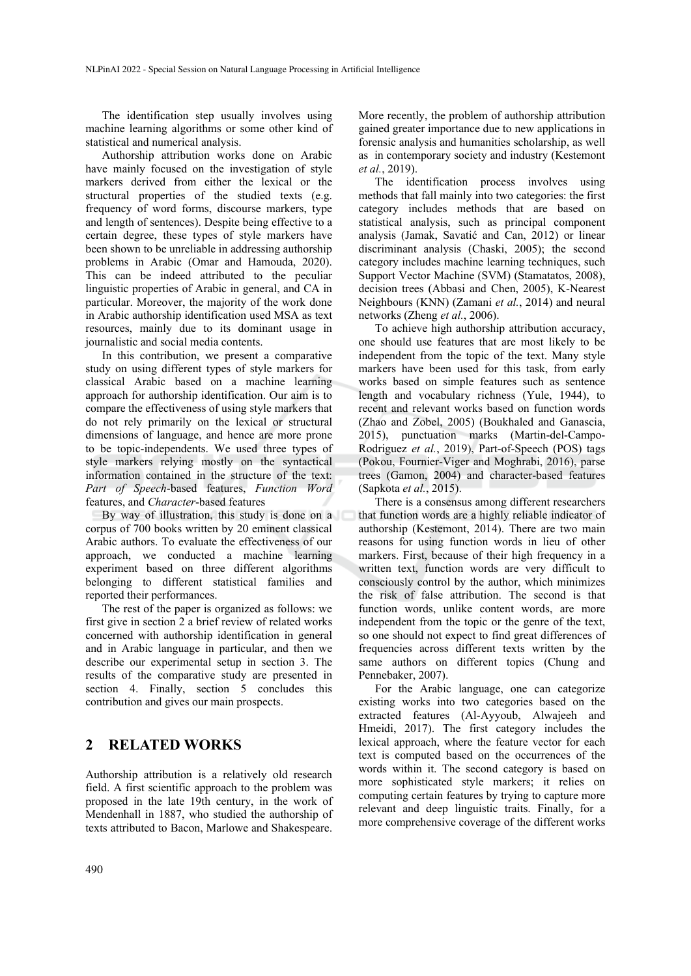The identification step usually involves using machine learning algorithms or some other kind of statistical and numerical analysis.

Authorship attribution works done on Arabic have mainly focused on the investigation of style markers derived from either the lexical or the structural properties of the studied texts (e.g. frequency of word forms, discourse markers, type and length of sentences). Despite being effective to a certain degree, these types of style markers have been shown to be unreliable in addressing authorship problems in Arabic (Omar and Hamouda, 2020). This can be indeed attributed to the peculiar linguistic properties of Arabic in general, and CA in particular. Moreover, the majority of the work done in Arabic authorship identification used MSA as text resources, mainly due to its dominant usage in journalistic and social media contents.

In this contribution, we present a comparative study on using different types of style markers for classical Arabic based on a machine learning approach for authorship identification. Our aim is to compare the effectiveness of using style markers that do not rely primarily on the lexical or structural dimensions of language, and hence are more prone to be topic-independents. We used three types of style markers relying mostly on the syntactical information contained in the structure of the text: *Part of Speech*-based features, *Function Word* features, and *Character*-based features

By way of illustration, this study is done on a corpus of 700 books written by 20 eminent classical Arabic authors. To evaluate the effectiveness of our approach, we conducted a machine learning experiment based on three different algorithms belonging to different statistical families and reported their performances.

The rest of the paper is organized as follows: we first give in section 2 a brief review of related works concerned with authorship identification in general and in Arabic language in particular, and then we describe our experimental setup in section 3. The results of the comparative study are presented in section 4. Finally, section 5 concludes this contribution and gives our main prospects.

## **2 RELATED WORKS**

Authorship attribution is a relatively old research field. A first scientific approach to the problem was proposed in the late 19th century, in the work of Mendenhall in 1887, who studied the authorship of texts attributed to Bacon, Marlowe and Shakespeare.

More recently, the problem of authorship attribution gained greater importance due to new applications in forensic analysis and humanities scholarship, as well as in contemporary society and industry (Kestemont *et al.*, 2019).

The identification process involves using methods that fall mainly into two categories: the first category includes methods that are based on statistical analysis, such as principal component analysis (Jamak, Savatić and Can, 2012) or linear discriminant analysis (Chaski, 2005); the second category includes machine learning techniques, such Support Vector Machine (SVM) (Stamatatos, 2008), decision trees (Abbasi and Chen, 2005), K-Nearest Neighbours (KNN) (Zamani *et al.*, 2014) and neural networks (Zheng *et al.*, 2006).

To achieve high authorship attribution accuracy, one should use features that are most likely to be independent from the topic of the text. Many style markers have been used for this task, from early works based on simple features such as sentence length and vocabulary richness (Yule, 1944), to recent and relevant works based on function words (Zhao and Zobel, 2005) (Boukhaled and Ganascia, 2015), punctuation marks (Martin-del-Campo-Rodriguez *et al.*, 2019), Part-of-Speech (POS) tags (Pokou, Fournier-Viger and Moghrabi, 2016), parse trees (Gamon, 2004) and character-based features (Sapkota *et al.*, 2015).

There is a consensus among different researchers that function words are a highly reliable indicator of authorship (Kestemont, 2014). There are two main reasons for using function words in lieu of other markers. First, because of their high frequency in a written text, function words are very difficult to consciously control by the author, which minimizes the risk of false attribution. The second is that function words, unlike content words, are more independent from the topic or the genre of the text, so one should not expect to find great differences of frequencies across different texts written by the same authors on different topics (Chung and Pennebaker, 2007).

For the Arabic language, one can categorize existing works into two categories based on the extracted features (Al-Ayyoub, Alwajeeh and Hmeidi, 2017). The first category includes the lexical approach, where the feature vector for each text is computed based on the occurrences of the words within it. The second category is based on more sophisticated style markers; it relies on computing certain features by trying to capture more relevant and deep linguistic traits. Finally, for a more comprehensive coverage of the different works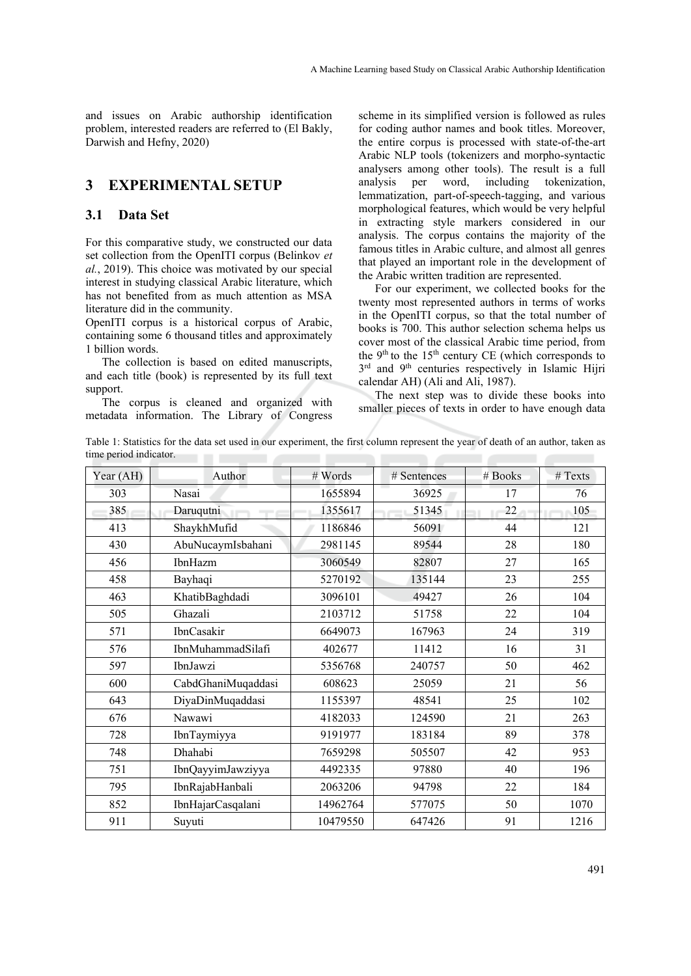and issues on Arabic authorship identification problem, interested readers are referred to (El Bakly, Darwish and Hefny, 2020)

## **3 EXPERIMENTAL SETUP**

#### **3.1 Data Set**

For this comparative study, we constructed our data set collection from the OpenITI corpus (Belinkov *et al.*, 2019). This choice was motivated by our special interest in studying classical Arabic literature, which has not benefited from as much attention as MSA literature did in the community.

OpenITI corpus is a historical corpus of Arabic, containing some 6 thousand titles and approximately 1 billion words.

The collection is based on edited manuscripts, and each title (book) is represented by its full text support.

The corpus is cleaned and organized with metadata information. The Library of Congress

scheme in its simplified version is followed as rules for coding author names and book titles. Moreover, the entire corpus is processed with state-of-the-art Arabic NLP tools (tokenizers and morpho-syntactic analysers among other tools). The result is a full analysis per word, including tokenization, lemmatization, part-of-speech-tagging, and various morphological features, which would be very helpful in extracting style markers considered in our analysis. The corpus contains the majority of the famous titles in Arabic culture, and almost all genres that played an important role in the development of the Arabic written tradition are represented.

For our experiment, we collected books for the twenty most represented authors in terms of works in the OpenITI corpus, so that the total number of books is 700. This author selection schema helps us cover most of the classical Arabic time period, from the  $9<sup>th</sup>$  to the 15<sup>th</sup> century CE (which corresponds to 3<sup>rd</sup> and 9<sup>th</sup> centuries respectively in Islamic Hijri calendar AH) (Ali and Ali, 1987).

The next step was to divide these books into smaller pieces of texts in order to have enough data

Table 1: Statistics for the data set used in our experiment, the first column represent the year of death of an author, taken as time period indicator.

| Year (AH)<br>Author<br># Words<br># Books<br># Texts<br># Sentences<br>303<br>Nasai<br>1655894<br>36925<br>17<br>76<br>385<br>1355617<br>51345<br>22<br>105<br>Daruqutni<br>413<br>ShaykhMufid<br>1186846<br>44<br>56091<br>121<br>AbuNucaymIsbahani<br>2981145<br>89544<br>28<br>180<br>430<br>27<br>456<br>3060549<br>82807<br>165<br>IbnHazm<br>23<br>5270192<br>255<br>458<br>135144<br>Bayhaqi<br>26<br>463<br>3096101<br>104<br>KhatibBaghdadi<br>49427<br>Ghazali<br>22<br>505<br>2103712<br>104<br>51758<br>24<br>571<br><b>IbnCasakir</b><br>6649073<br>319<br>167963<br>IbnMuhammadSilafi<br>576<br>402677<br>16<br>31<br>11412<br>597<br>IbnJawzi<br>240757<br>50<br>462<br>5356768<br>CabdGhaniMuqaddasi<br>21<br>600<br>608623<br>25059<br>56<br>25<br>102<br>643<br>DiyaDinMuqaddasi<br>1155397<br>48541<br>676<br>4182033<br>21<br>263<br>Nawawi<br>124590<br>89<br>728<br>9191977<br>183184<br>378<br>IbnTaymiyya<br>Dhahabi<br>42<br>748<br>7659298<br>953<br>505507<br>751<br>4492335<br>97880<br>40<br>196<br>IbnQayyimJawziyya<br>795<br>2063206<br>22<br>IbnRajabHanbali<br>94798<br>184<br>852<br>IbnHajarCasqalani<br>50<br>14962764<br>577075<br>1070<br>911<br>91<br>Suyuti<br>10479550<br>647426<br>1216 |  |  |  |
|------------------------------------------------------------------------------------------------------------------------------------------------------------------------------------------------------------------------------------------------------------------------------------------------------------------------------------------------------------------------------------------------------------------------------------------------------------------------------------------------------------------------------------------------------------------------------------------------------------------------------------------------------------------------------------------------------------------------------------------------------------------------------------------------------------------------------------------------------------------------------------------------------------------------------------------------------------------------------------------------------------------------------------------------------------------------------------------------------------------------------------------------------------------------------------------------------------------------------------|--|--|--|
|                                                                                                                                                                                                                                                                                                                                                                                                                                                                                                                                                                                                                                                                                                                                                                                                                                                                                                                                                                                                                                                                                                                                                                                                                                    |  |  |  |
|                                                                                                                                                                                                                                                                                                                                                                                                                                                                                                                                                                                                                                                                                                                                                                                                                                                                                                                                                                                                                                                                                                                                                                                                                                    |  |  |  |
|                                                                                                                                                                                                                                                                                                                                                                                                                                                                                                                                                                                                                                                                                                                                                                                                                                                                                                                                                                                                                                                                                                                                                                                                                                    |  |  |  |
|                                                                                                                                                                                                                                                                                                                                                                                                                                                                                                                                                                                                                                                                                                                                                                                                                                                                                                                                                                                                                                                                                                                                                                                                                                    |  |  |  |
|                                                                                                                                                                                                                                                                                                                                                                                                                                                                                                                                                                                                                                                                                                                                                                                                                                                                                                                                                                                                                                                                                                                                                                                                                                    |  |  |  |
|                                                                                                                                                                                                                                                                                                                                                                                                                                                                                                                                                                                                                                                                                                                                                                                                                                                                                                                                                                                                                                                                                                                                                                                                                                    |  |  |  |
|                                                                                                                                                                                                                                                                                                                                                                                                                                                                                                                                                                                                                                                                                                                                                                                                                                                                                                                                                                                                                                                                                                                                                                                                                                    |  |  |  |
|                                                                                                                                                                                                                                                                                                                                                                                                                                                                                                                                                                                                                                                                                                                                                                                                                                                                                                                                                                                                                                                                                                                                                                                                                                    |  |  |  |
|                                                                                                                                                                                                                                                                                                                                                                                                                                                                                                                                                                                                                                                                                                                                                                                                                                                                                                                                                                                                                                                                                                                                                                                                                                    |  |  |  |
|                                                                                                                                                                                                                                                                                                                                                                                                                                                                                                                                                                                                                                                                                                                                                                                                                                                                                                                                                                                                                                                                                                                                                                                                                                    |  |  |  |
|                                                                                                                                                                                                                                                                                                                                                                                                                                                                                                                                                                                                                                                                                                                                                                                                                                                                                                                                                                                                                                                                                                                                                                                                                                    |  |  |  |
|                                                                                                                                                                                                                                                                                                                                                                                                                                                                                                                                                                                                                                                                                                                                                                                                                                                                                                                                                                                                                                                                                                                                                                                                                                    |  |  |  |
|                                                                                                                                                                                                                                                                                                                                                                                                                                                                                                                                                                                                                                                                                                                                                                                                                                                                                                                                                                                                                                                                                                                                                                                                                                    |  |  |  |
|                                                                                                                                                                                                                                                                                                                                                                                                                                                                                                                                                                                                                                                                                                                                                                                                                                                                                                                                                                                                                                                                                                                                                                                                                                    |  |  |  |
|                                                                                                                                                                                                                                                                                                                                                                                                                                                                                                                                                                                                                                                                                                                                                                                                                                                                                                                                                                                                                                                                                                                                                                                                                                    |  |  |  |
|                                                                                                                                                                                                                                                                                                                                                                                                                                                                                                                                                                                                                                                                                                                                                                                                                                                                                                                                                                                                                                                                                                                                                                                                                                    |  |  |  |
|                                                                                                                                                                                                                                                                                                                                                                                                                                                                                                                                                                                                                                                                                                                                                                                                                                                                                                                                                                                                                                                                                                                                                                                                                                    |  |  |  |
|                                                                                                                                                                                                                                                                                                                                                                                                                                                                                                                                                                                                                                                                                                                                                                                                                                                                                                                                                                                                                                                                                                                                                                                                                                    |  |  |  |
|                                                                                                                                                                                                                                                                                                                                                                                                                                                                                                                                                                                                                                                                                                                                                                                                                                                                                                                                                                                                                                                                                                                                                                                                                                    |  |  |  |
|                                                                                                                                                                                                                                                                                                                                                                                                                                                                                                                                                                                                                                                                                                                                                                                                                                                                                                                                                                                                                                                                                                                                                                                                                                    |  |  |  |
|                                                                                                                                                                                                                                                                                                                                                                                                                                                                                                                                                                                                                                                                                                                                                                                                                                                                                                                                                                                                                                                                                                                                                                                                                                    |  |  |  |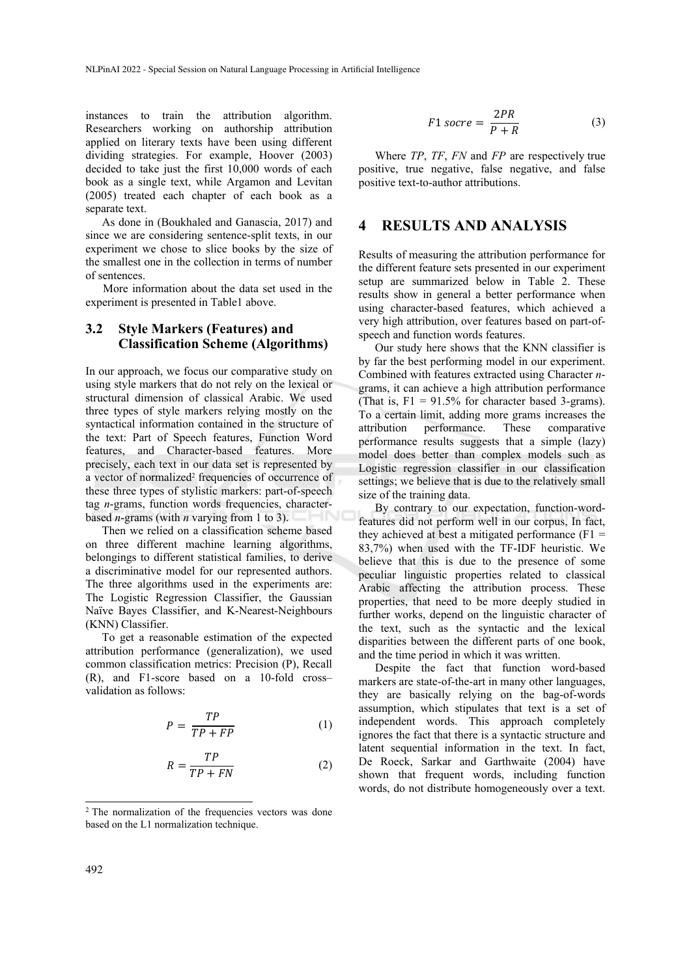instances to train the attribution algorithm. Researchers working on authorship attribution applied on literary texts have been using different dividing strategies. For example, Hoover (2003) decided to take just the first 10,000 words of each book as a single text, while Argamon and Levitan (2005) treated each chapter of each book as a separate text.

As done in (Boukhaled and Ganascia, 2017) and since we are considering sentence-split texts, in our experiment we chose to slice books by the size of the smallest one in the collection in terms of number of sentences.

More information about the data set used in the experiment is presented in Table1 above.

### **3.2 Style Markers (Features) and Classification Scheme (Algorithms)**

In our approach, we focus our comparative study on using style markers that do not rely on the lexical or structural dimension of classical Arabic. We used three types of style markers relying mostly on the syntactical information contained in the structure of the text: Part of Speech features, Function Word features, and Character-based features. More precisely, each text in our data set is represented by a vector of normalized2 frequencies of occurrence of these three types of stylistic markers: part-of-speech tag *n*-grams, function words frequencies, characterbased *n*-grams (with *n* varying from 1 to 3).

Then we relied on a classification scheme based on three different machine learning algorithms, belongings to different statistical families, to derive a discriminative model for our represented authors. The three algorithms used in the experiments are: The Logistic Regression Classifier, the Gaussian Naïve Bayes Classifier, and K-Nearest-Neighbours (KNN) Classifier.

To get a reasonable estimation of the expected attribution performance (generalization), we used common classification metrics: Precision (P), Recall (R), and F1-score based on a 10-fold cross– validation as follows:

$$
P = \frac{TP}{TP + FP} \tag{1}
$$

$$
R = \frac{TP}{TP + FN} \tag{2}
$$

$$
F1 \, \text{score} = \frac{2PR}{P + R} \tag{3}
$$

Where *TP*, *TF*, *FN* and *FP* are respectively true positive, true negative, false negative, and false positive text-to-author attributions.

#### **4 RESULTS AND ANALYSIS**

Results of measuring the attribution performance for the different feature sets presented in our experiment setup are summarized below in Table 2. These results show in general a better performance when using character-based features, which achieved a very high attribution, over features based on part-ofspeech and function words features.

Our study here shows that the KNN classifier is by far the best performing model in our experiment. Combined with features extracted using Character *n*grams, it can achieve a high attribution performance (That is,  $F1 = 91.5\%$  for character based 3-grams). To a certain limit, adding more grams increases the attribution performance. These comparative performance results suggests that a simple (lazy) model does better than complex models such as Logistic regression classifier in our classification settings; we believe that is due to the relatively small size of the training data.

By contrary to our expectation, function-wordfeatures did not perform well in our corpus, In fact, they achieved at best a mitigated performance  $(F1 =$ 83,7%) when used with the TF-IDF heuristic. We believe that this is due to the presence of some peculiar linguistic properties related to classical Arabic affecting the attribution process. These properties, that need to be more deeply studied in further works, depend on the linguistic character of the text, such as the syntactic and the lexical disparities between the different parts of one book, and the time period in which it was written.

Despite the fact that function word-based markers are state-of-the-art in many other languages, they are basically relying on the bag-of-words assumption, which stipulates that text is a set of independent words. This approach completely ignores the fact that there is a syntactic structure and latent sequential information in the text. In fact, De Roeck, Sarkar and Garthwaite (2004) have shown that frequent words, including function words, do not distribute homogeneously over a text.

<sup>2</sup> The normalization of the frequencies vectors was done based on the L1 normalization technique.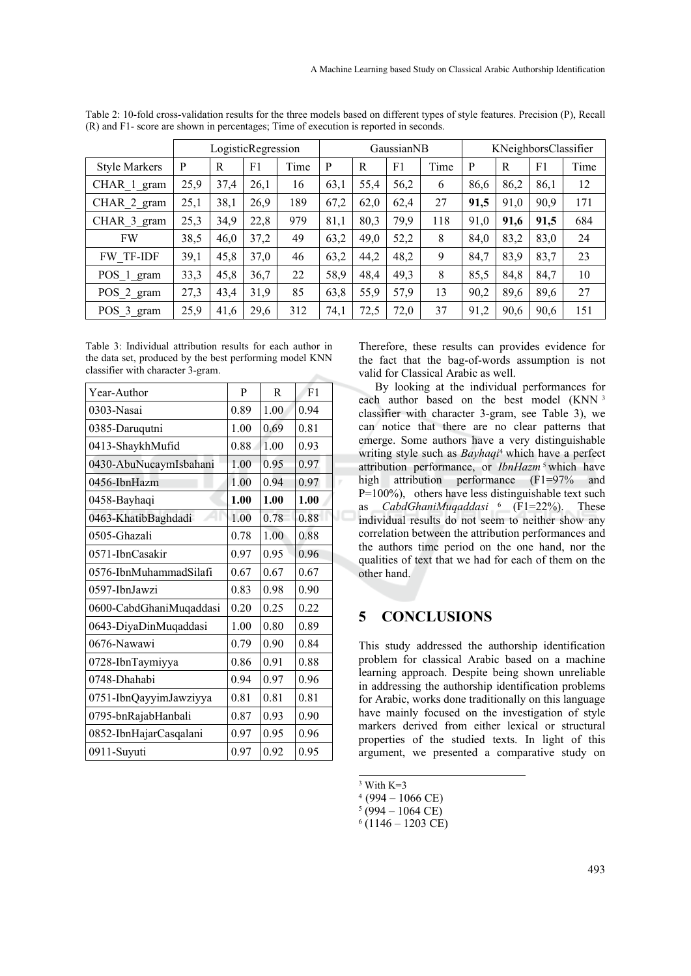|                      |      | LogisticRegression |      |      | GaussianNB |      |      | KNeighborsClassifier |      |      |      |      |
|----------------------|------|--------------------|------|------|------------|------|------|----------------------|------|------|------|------|
| <b>Style Markers</b> | P    | R                  | F1   | Time | P          | R    | F1   | Time                 | P    | R    | F1   | Time |
| CHAR 1 gram          | 25,9 | 37,4               | 26,1 | 16   | 63,1       | 55,4 | 56,2 | 6                    | 86,6 | 86,2 | 86,1 | 12   |
| CHAR 2 gram          | 25,1 | 38,1               | 26,9 | 189  | 67,2       | 62,0 | 62,4 | 27                   | 91,5 | 91,0 | 90,9 | 171  |
| CHAR 3 gram          | 25,3 | 34,9               | 22,8 | 979  | 81,1       | 80,3 | 79,9 | 118                  | 91,0 | 91,6 | 91,5 | 684  |
| <b>FW</b>            | 38,5 | 46,0               | 37,2 | 49   | 63,2       | 49,0 | 52,2 | 8                    | 84,0 | 83,2 | 83,0 | 24   |
| <b>FW TF-IDF</b>     | 39,1 | 45,8               | 37,0 | 46   | 63,2       | 44,2 | 48,2 | 9                    | 84,7 | 83,9 | 83,7 | 23   |
| POS 1 gram           | 33,3 | 45,8               | 36,7 | 22   | 58,9       | 48,4 | 49,3 | 8                    | 85,5 | 84,8 | 84,7 | 10   |
| POS 2 gram           | 27,3 | 43,4               | 31,9 | 85   | 63,8       | 55,9 | 57,9 | 13                   | 90,2 | 89,6 | 89,6 | 27   |
| POS 3 gram           | 25,9 | 41,6               | 29,6 | 312  | 74,1       | 72,5 | 72,0 | 37                   | 91,2 | 90,6 | 90,6 | 151  |

Table 2: 10-fold cross-validation results for the three models based on different types of style features. Precision (P), Recall (R) and F1- score are shown in percentages; Time of execution is reported in seconds.

Table 3: Individual attribution results for each author in the data set, produced by the best performing model KNN classifier with character 3-gram.

| Year-Author             | P    | R    | F1   |
|-------------------------|------|------|------|
| 0303-Nasai              | 0.89 | 1.00 | 0.94 |
| 0385-Daruqutni          | 1.00 | 0.69 | 0.81 |
| 0413-ShaykhMufid        | 0.88 | 1.00 | 0.93 |
| 0430-AbuNucaymIsbahani  | 1.00 | 0.95 | 0.97 |
| 0456-IbnHazm            | 1.00 | 0.94 | 0.97 |
| 0458-Bayhaqi            | 1.00 | 1.00 | 1.00 |
| 0463-KhatibBaghdadi     | 1.00 | 0.78 | 0.88 |
| 0505-Ghazali            | 0.78 | 1.00 | 0.88 |
| 0571-IbnCasakir         | 0.97 | 0.95 | 0.96 |
| 0576-IbnMuhammadSilafi  | 0.67 | 0.67 | 0.67 |
| 0597-IbnJawzi           | 0.83 | 0.98 | 0.90 |
| 0600-CabdGhaniMuqaddasi | 0.20 | 0.25 | 0.22 |
| 0643-DiyaDinMuqaddasi   | 1.00 | 0.80 | 0.89 |
| 0676-Nawawi             | 0.79 | 0.90 | 0.84 |
| 0728-IbnTaymiyya        | 0.86 | 0.91 | 0.88 |
| 0748-Dhahabi            | 0.94 | 0.97 | 0.96 |
| 0751-IbnQayyimJawziyya  | 0.81 | 0.81 | 0.81 |
| 0795-bnRajabHanbali     | 0.87 | 0.93 | 0.90 |
| 0852-IbnHajarCasqalani  | 0.97 | 0.95 | 0.96 |
| 0911-Suyuti             | 0.97 | 0.92 | 0.95 |

Therefore, these results can provides evidence for the fact that the bag-of-words assumption is not valid for Classical Arabic as well.

By looking at the individual performances for each author based on the best model (KNN<sup>3</sup> classifier with character 3-gram, see Table 3), we can notice that there are no clear patterns that emerge. Some authors have a very distinguishable writing style such as *Bayhaqi*4 which have a perfect attribution performance, or *IbnHazm* <sup>5</sup> which have high attribution performance (F1=97% and P=100%), others have less distinguishable text such as *CabdGhaniMuqaddasi* 6 (F1=22%). These individual results do not seem to neither show any correlation between the attribution performances and the authors time period on the one hand, nor the qualities of text that we had for each of them on the other hand.

## **5 CONCLUSIONS**

This study addressed the authorship identification problem for classical Arabic based on a machine learning approach. Despite being shown unreliable in addressing the authorship identification problems for Arabic, works done traditionally on this language have mainly focused on the investigation of style markers derived from either lexical or structural properties of the studied texts. In light of this argument, we presented a comparative study on

 $3$  With K=3

 $4(994 - 1066$  CE)

 $5(994 - 1064 \text{ CE})$ 

 $6(1146 - 1203 \text{ CE})$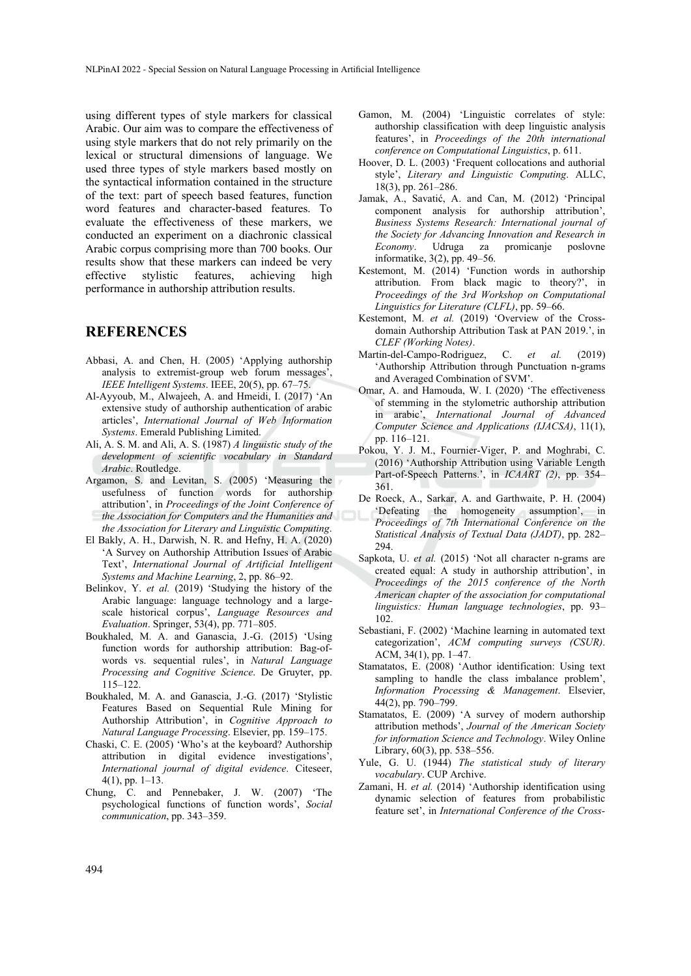using different types of style markers for classical Arabic. Our aim was to compare the effectiveness of using style markers that do not rely primarily on the lexical or structural dimensions of language. We used three types of style markers based mostly on the syntactical information contained in the structure of the text: part of speech based features, function word features and character-based features. To evaluate the effectiveness of these markers, we conducted an experiment on a diachronic classical Arabic corpus comprising more than 700 books. Our results show that these markers can indeed be very effective stylistic features, achieving high performance in authorship attribution results.

### **REFERENCES**

- Abbasi, A. and Chen, H. (2005) 'Applying authorship analysis to extremist-group web forum messages', *IEEE Intelligent Systems*. IEEE, 20(5), pp. 67–75.
- Al-Ayyoub, M., Alwajeeh, A. and Hmeidi, I. (2017) 'An extensive study of authorship authentication of arabic articles', *International Journal of Web Information Systems*. Emerald Publishing Limited.
- Ali, A. S. M. and Ali, A. S. (1987) *A linguistic study of the development of scientific vocabulary in Standard Arabic*. Routledge.
- Argamon, S. and Levitan, S. (2005) 'Measuring the usefulness of function words for authorship attribution', in *Proceedings of the Joint Conference of the Association for Computers and the Humanities and the Association for Literary and Linguistic Computing*.
- El Bakly, A. H., Darwish, N. R. and Hefny, H. A. (2020) 'A Survey on Authorship Attribution Issues of Arabic Text', *International Journal of Artificial Intelligent Systems and Machine Learning*, 2, pp. 86–92.
- Belinkov, Y. *et al.* (2019) 'Studying the history of the Arabic language: language technology and a largescale historical corpus', *Language Resources and Evaluation*. Springer, 53(4), pp. 771–805.
- Boukhaled, M. A. and Ganascia, J.-G. (2015) 'Using function words for authorship attribution: Bag-ofwords vs. sequential rules', in *Natural Language Processing and Cognitive Science*. De Gruyter, pp.  $115 - 122$
- Boukhaled, M. A. and Ganascia, J.-G. (2017) 'Stylistic Features Based on Sequential Rule Mining for Authorship Attribution', in *Cognitive Approach to Natural Language Processing*. Elsevier, pp. 159–175.
- Chaski, C. E. (2005) 'Who's at the keyboard? Authorship attribution in digital evidence investigations', *International journal of digital evidence*. Citeseer, 4(1), pp. 1–13.
- Chung, C. and Pennebaker, J. W. (2007) 'The psychological functions of function words', *Social communication*, pp. 343–359.
- Gamon, M. (2004) 'Linguistic correlates of style: authorship classification with deep linguistic analysis features', in *Proceedings of the 20th international conference on Computational Linguistics*, p. 611.
- Hoover, D. L. (2003) 'Frequent collocations and authorial style', *Literary and Linguistic Computing*. ALLC, 18(3), pp. 261–286.
- Jamak, A., Savatić, A. and Can, M. (2012) 'Principal component analysis for authorship attribution', *Business Systems Research: International journal of the Society for Advancing Innovation and Research in Economy*. Udruga za promicanje poslovne informatike, 3(2), pp. 49–56.
- Kestemont, M. (2014) 'Function words in authorship attribution. From black magic to theory?', in *Proceedings of the 3rd Workshop on Computational Linguistics for Literature (CLFL)*, pp. 59–66.
- Kestemont, M. *et al.* (2019) 'Overview of the Crossdomain Authorship Attribution Task at PAN 2019.', in *CLEF (Working Notes)*.
- Martin-del-Campo-Rodriguez, C. *et al.* (2019) 'Authorship Attribution through Punctuation n-grams and Averaged Combination of SVM'.
- Omar, A. and Hamouda, W. I. (2020) 'The effectiveness of stemming in the stylometric authorship attribution in arabic', *International Journal of Advanced Computer Science and Applications (IJACSA)*, 11(1), pp. 116–121.
- Pokou, Y. J. M., Fournier-Viger, P. and Moghrabi, C. (2016) 'Authorship Attribution using Variable Length Part-of-Speech Patterns.', in *ICAART (2)*, pp. 354– 361.
- De Roeck, A., Sarkar, A. and Garthwaite, P. H. (2004) 'Defeating the homogeneity assumption', in *Proceedings of 7th International Conference on the Statistical Analysis of Textual Data (JADT)*, pp. 282– 294.
- Sapkota, U. et al. (2015) 'Not all character n-grams are created equal: A study in authorship attribution', in *Proceedings of the 2015 conference of the North American chapter of the association for computational linguistics: Human language technologies*, pp. 93– 102.
- Sebastiani, F. (2002) 'Machine learning in automated text categorization', *ACM computing surveys (CSUR)*. ACM, 34(1), pp. 1–47.
- Stamatatos, E. (2008) 'Author identification: Using text sampling to handle the class imbalance problem', *Information Processing & Management*. Elsevier, 44(2), pp. 790–799.
- Stamatatos, E. (2009) 'A survey of modern authorship attribution methods', *Journal of the American Society for information Science and Technology*. Wiley Online Library, 60(3), pp. 538–556.
- Yule, G. U. (1944) *The statistical study of literary vocabulary*. CUP Archive.
- Zamani, H. *et al.* (2014) 'Authorship identification using dynamic selection of features from probabilistic feature set', in *International Conference of the Cross-*